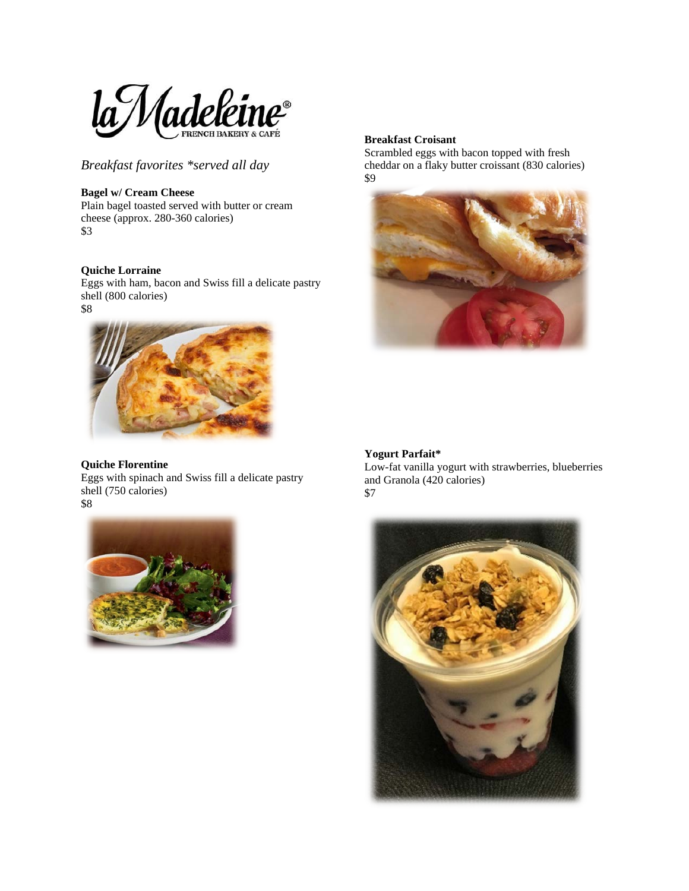

*Breakfast favorites \*served all day*

# **Bagel w/ Cream Cheese**

Plain bagel toasted served with butter or cream cheese (approx. 280-360 calories) \$3

# **Quiche Lorraine**

Eggs with ham, bacon and Swiss fill a delicate pastry shell (800 calories) \$8



# **Quiche Florentine**

Eggs with spinach and Swiss fill a delicate pastry shell (750 calories) \$8



### **Breakfast Croisant**

Scrambled eggs with bacon topped with fresh cheddar on a flaky butter croissant (830 calories) \$9



# **Yogurt Parfait\***

Low-fat vanilla yogurt with strawberries, blueberries and Granola (420 calories) \$7

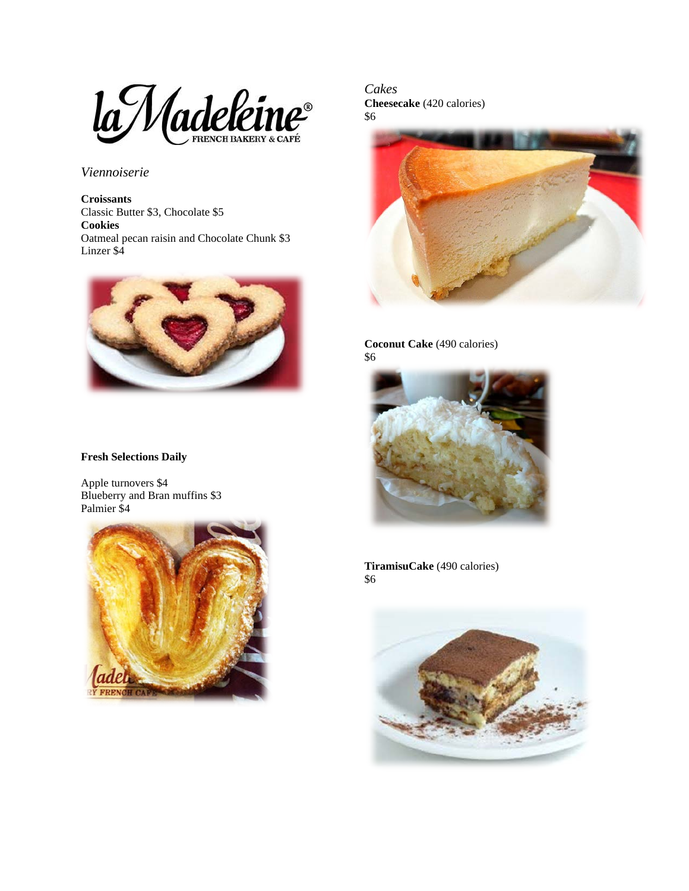la Madeleine

*Viennoiserie*

**Croissants** Classic Butter \$3, Chocolate \$5 **Cookies** Oatmeal pecan raisin and Chocolate Chunk \$3 Linzer \$4



### **Fresh Selections Daily**

Apple turnovers \$4 Blueberry and Bran muffins \$3 Palmier \$4



*Cakes* **Cheesecake** (420 calories) \$6



**Coconut Cake** (490 calories) \$6



**TiramisuCake** (490 calories) \$6

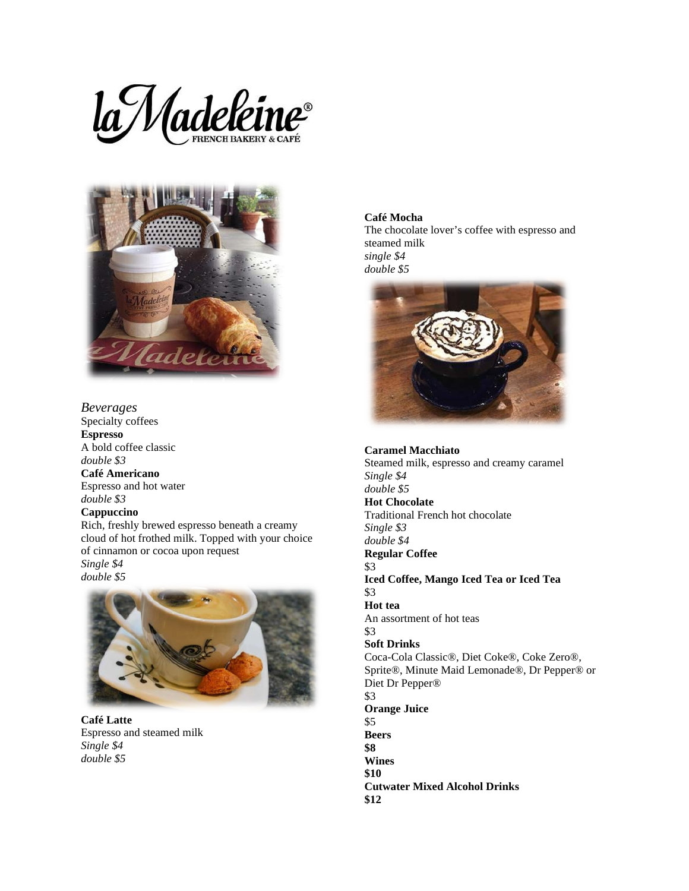



*Beverages* Specialty coffees **Espresso** A bold coffee classic *double \$3* **Café Americano** Espresso and hot water *double \$3*

# **Cappuccino**

Rich, freshly brewed espresso beneath a creamy cloud of hot frothed milk. Topped with your choice of cinnamon or cocoa upon request

*Single \$4 double \$5*



**Café Latte** Espresso and steamed milk *Single \$4 double \$5*

**Café Mocha** The chocolate lover's coffee with espresso and steamed milk

*single \$4 double \$5*

**\$12**



**Caramel Macchiato** Steamed milk, espresso and creamy caramel *Single \$4 double \$5* **Hot Chocolate** Traditional French hot chocolate *Single \$3 double \$4* **Regular Coffee** \$3 **Iced Coffee, Mango Iced Tea or Iced Tea** \$3 **Hot tea** An assortment of hot teas \$3 **Soft Drinks** Coca-Cola Classic®, Diet Coke®, Coke Zero®, Sprite®, Minute Maid Lemonade®, Dr Pepper® or Diet Dr Pepper® \$3 **Orange Juice** \$5 **Beers \$8 Wines \$10 Cutwater Mixed Alcohol Drinks**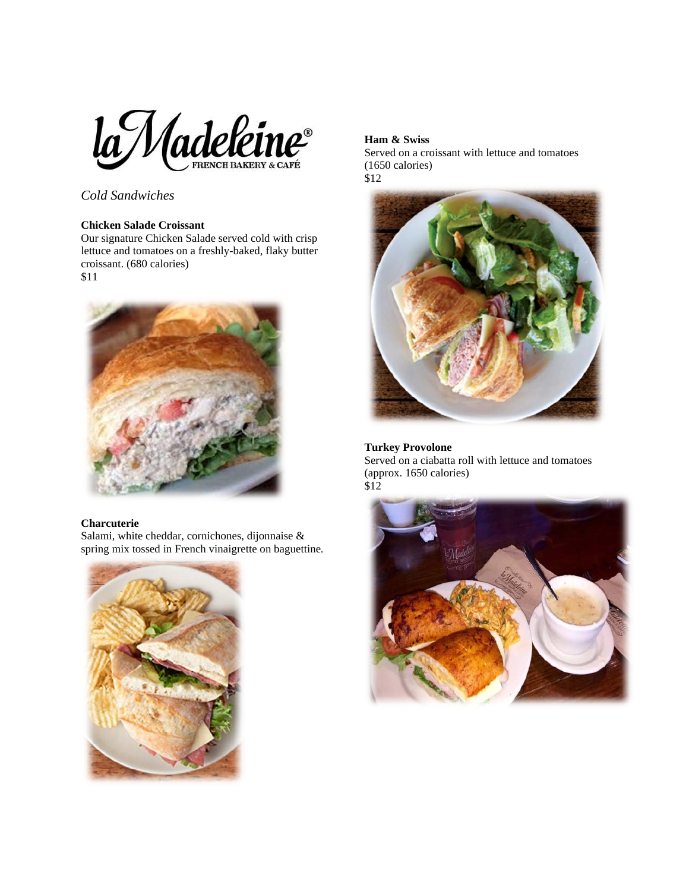

*Cold Sandwiches*

# **Chicken Salade Croissant**

Our signature Chicken Salade served cold with crisp lettuce and tomatoes on a freshly-baked, flaky butter croissant. (680 calories) \$11



#### **Charcuterie**

Salami, white cheddar, cornichones, dijonnaise & spring mix tossed in French vinaigrette on baguettine.



## **Ham & Swiss**

Served on a croissant with lettuce and tomatoes (1650 calories) \$12



# **Turkey Provolone**

Served on a ciabatta roll with lettuce and tomatoes (approx. 1650 calories) \$12

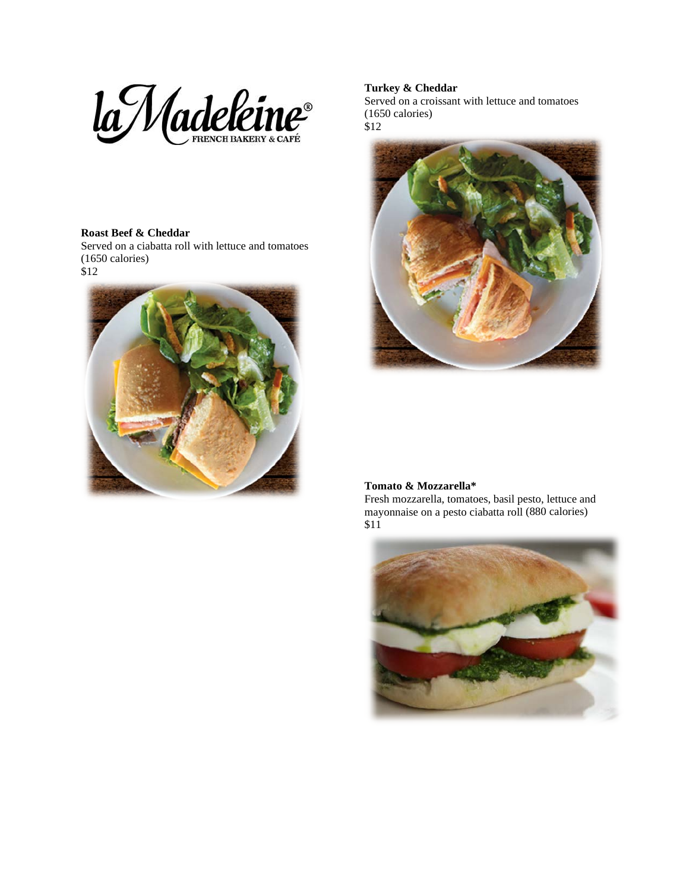

### **Roast Beef & Cheddar**

Served on a ciabatta roll with lettuce and tomatoes (1650 calories)



# **Turkey & Cheddar**

Served on a croissant with lettuce and tomatoes (1650 calories) \$12



#### **Tomato & Mozzarella\***

Fresh mozzarella, tomatoes, basil pesto, lettuce and mayonnaise on a pesto ciabatta roll (880 calories) \$11

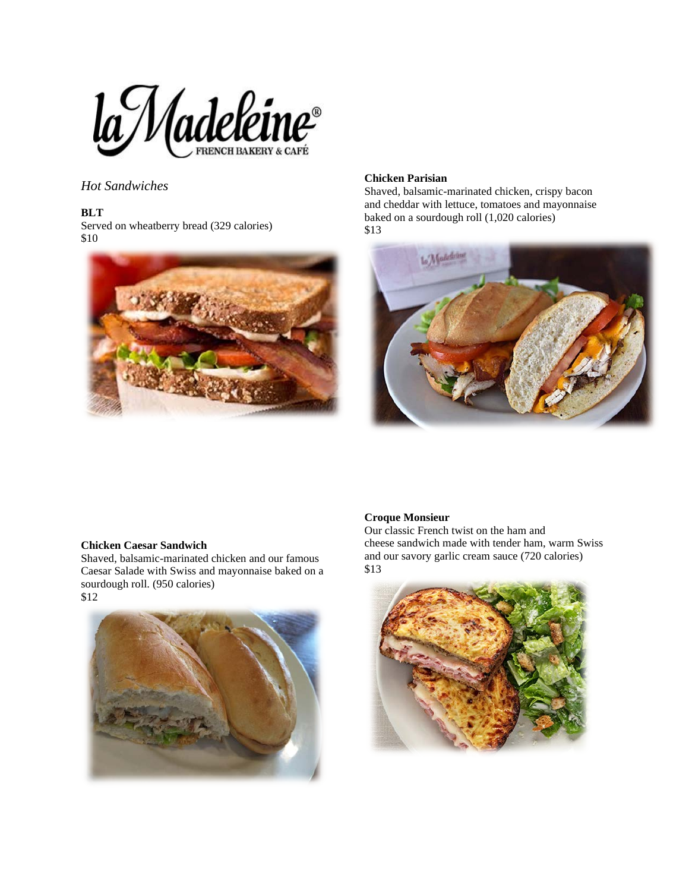

*Hot Sandwiches*

# **BLT**

Served on wheatberry bread (329 calories) \$10



### **Chicken Parisian**

Shaved, balsamic-marinated chicken, crispy bacon and cheddar with lettuce, tomatoes and mayonnaise baked on a sourdough roll (1,020 calories) \$13



### **Chicken Caesar Sandwich**

Shaved, balsamic-marinated chicken and our famous Caesar Salade with Swiss and mayonnaise baked on a sourdough roll. (950 calories) \$12



# **Croque Monsieur**

Our classic French twist on the ham and cheese sandwich made with tender ham, warm Swiss and our savory garlic cream sauce (720 calories) \$13

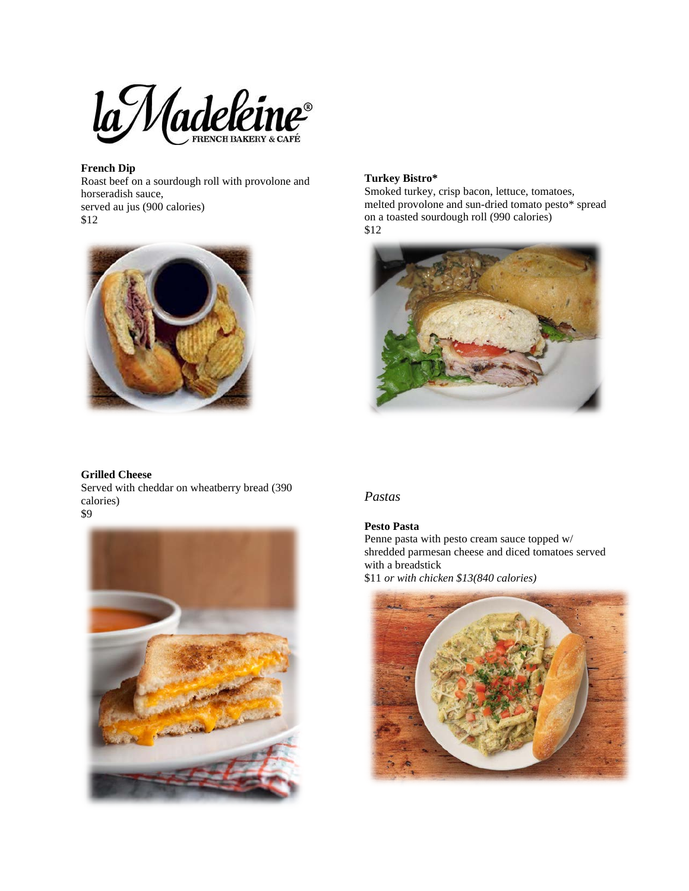la Madeleine

# **French Dip**

Roast beef on a sourdough roll with provolone and horseradish sauce, served au jus (900 calories) \$12



### **Turkey Bistro\***

Smoked turkey, crisp bacon, lettuce, tomatoes, melted provolone and sun-dried tomato pesto\* spread on a toasted sourdough roll (990 calories) \$12



#### **Grilled Cheese**

Served with cheddar on wheatberry bread (390 calories) \$9



# *Pastas*

# **Pesto Pasta**

Penne pasta with pesto cream sauce topped w/ shredded parmesan cheese and diced tomatoes served with a breadstick \$11 *or with chicken \$13(840 calories)*